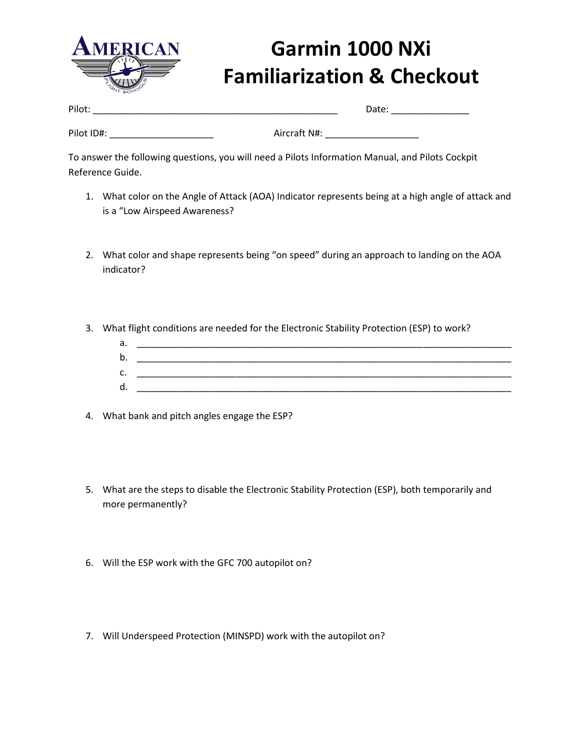

## **Garmin 1000 NXi Familiarization & Checkout**

| Pilot:     |              | Date: |
|------------|--------------|-------|
|            |              |       |
| Pilot ID#: | Aircraft N#: |       |

To answer the following questions, you will need a Pilots Information Manual, and Pilots Cockpit Reference Guide.

- 1. What color on the Angle of Attack (AOA) Indicator represents being at a high angle of attack and is a "Low Airspeed Awareness?
- 2. What color and shape represents being "on speed" during an approach to landing on the AOA indicator?
- 3. What flight conditions are needed for the Electronic Stability Protection (ESP) to work?
	- a. \_\_\_\_\_\_\_\_\_\_\_\_\_\_\_\_\_\_\_\_\_\_\_\_\_\_\_\_\_\_\_\_\_\_\_\_\_\_\_\_\_\_\_\_\_\_\_\_\_\_\_\_\_\_\_\_\_\_\_\_\_\_\_\_\_\_\_\_\_\_\_\_ b. \_\_\_\_\_\_\_\_\_\_\_\_\_\_\_\_\_\_\_\_\_\_\_\_\_\_\_\_\_\_\_\_\_\_\_\_\_\_\_\_\_\_\_\_\_\_\_\_\_\_\_\_\_\_\_\_\_\_\_\_\_\_\_\_\_\_\_\_\_\_\_\_ c. \_\_\_\_\_\_\_\_\_\_\_\_\_\_\_\_\_\_\_\_\_\_\_\_\_\_\_\_\_\_\_\_\_\_\_\_\_\_\_\_\_\_\_\_\_\_\_\_\_\_\_\_\_\_\_\_\_\_\_\_\_\_\_\_\_\_\_\_\_\_\_\_ d.  $\Box$
- 4. What bank and pitch angles engage the ESP?
- 5. What are the steps to disable the Electronic Stability Protection (ESP), both temporarily and more permanently?
- 6. Will the ESP work with the GFC 700 autopilot on?
- 7. Will Underspeed Protection (MINSPD) work with the autopilot on?